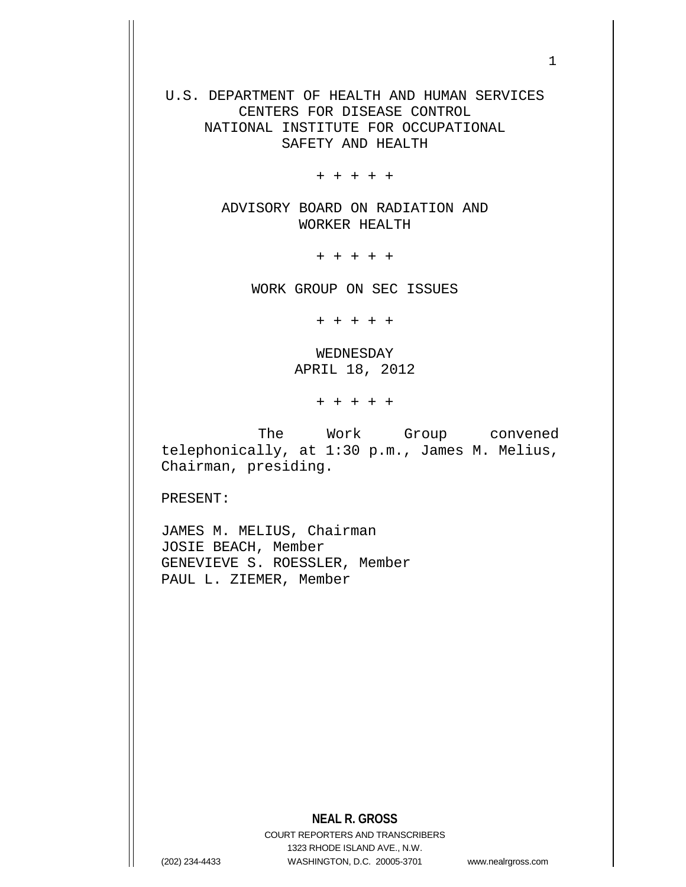U.S. DEPARTMENT OF HEALTH AND HUMAN SERVICES CENTERS FOR DISEASE CONTROL NATIONAL INSTITUTE FOR OCCUPATIONAL SAFETY AND HEALTH

+ + + + +

ADVISORY BOARD ON RADIATION AND WORKER HEALTH

+ + + + +

WORK GROUP ON SEC ISSUES

+ + + + +

WEDNESDAY APRIL 18, 2012

+ + + + +

 The Work Group convened telephonically, at 1:30 p.m., James M. Melius, Chairman, presiding.

PRESENT:

JAMES M. MELIUS, Chairman JOSIE BEACH, Member GENEVIEVE S. ROESSLER, Member PAUL L. ZIEMER, Member

## **NEAL R. GROSS**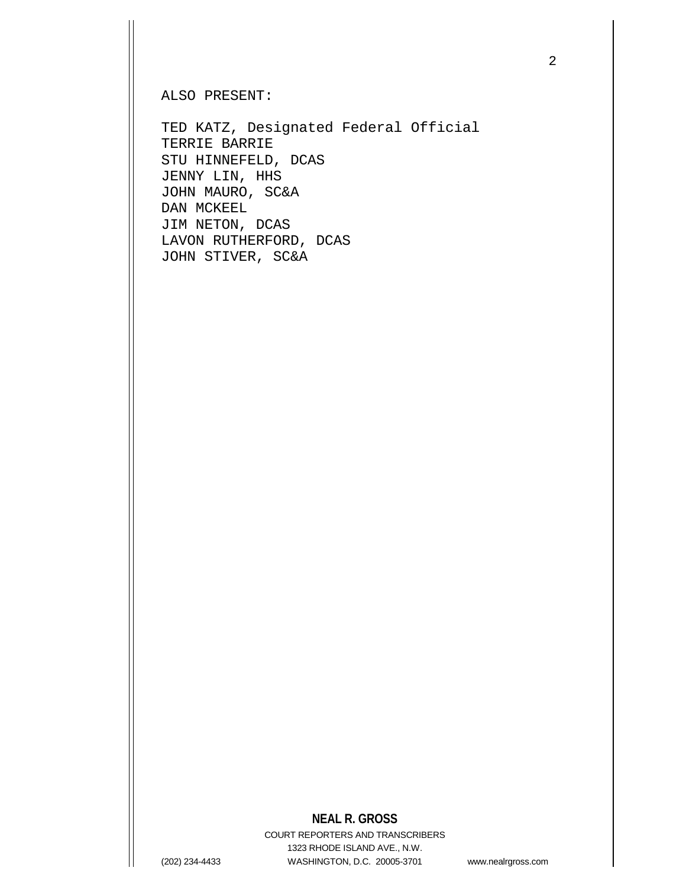ALSO PRESENT:

TED KATZ, Designated Federal Official TERRIE BARRIE STU HINNEFELD, DCAS JENNY LIN, HHS JOHN MAURO, SC&A DAN MCKEEL JIM NETON, DCAS LAVON RUTHERFORD, DCAS JOHN STIVER, SC&A

## **NEAL R. GROSS**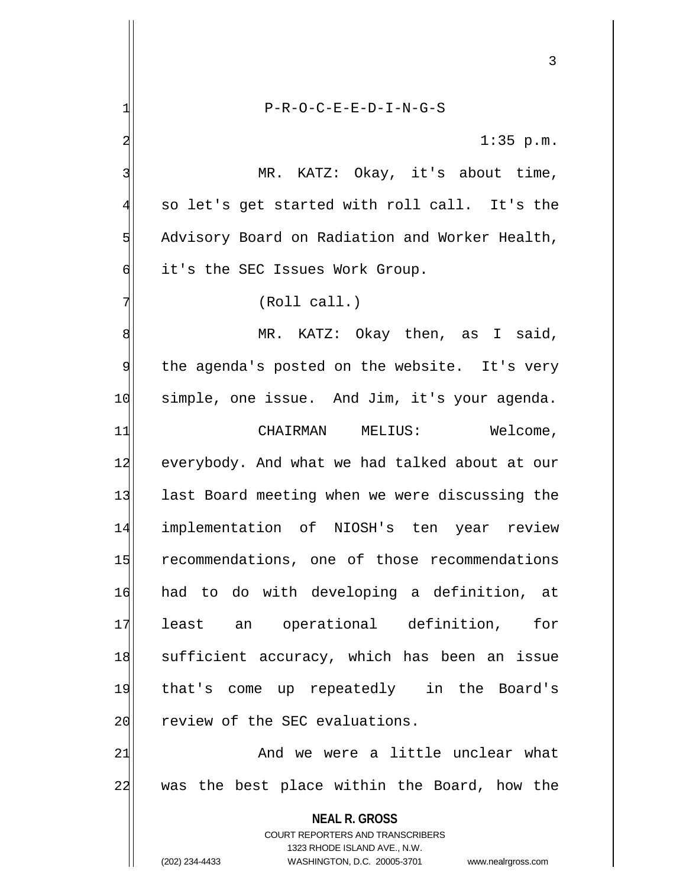**NEAL R. GROSS** COURT REPORTERS AND TRANSCRIBERS 1323 RHODE ISLAND AVE., N.W. (202) 234-4433 WASHINGTON, D.C. 20005-3701 www.nealrgross.com 1| P-R-O-C-E-E-D-I-N-G-S  $2 \mid 1:35 \text{ p.m.}$ 3 MR. KATZ: Okay, it's about time,  $4$  so let's get started with roll call. It's the 5 Advisory Board on Radiation and Worker Health,  $\delta$  it's the SEC Issues Work Group.  $7$  (Roll call.) 8 MR. KATZ: Okay then, as I said, 9 the agenda's posted on the website. It's very 10 simple, one issue. And Jim, it's your agenda. [11] CHAIRMAN MELIUS: Welcome, 12 everybody. And what we had talked about at our 13 last Board meeting when we were discussing the 14 implementation of NIOSH's ten year review 15 recommendations, one of those recommendations 16 had to do with developing a definition, at 17 least an operational definition, for 18 sufficient accuracy, which has been an issue 19 that's come up repeatedly in the Board's 20 review of the SEC evaluations. 21 and we were a little unclear what 22 was the best place within the Board, how the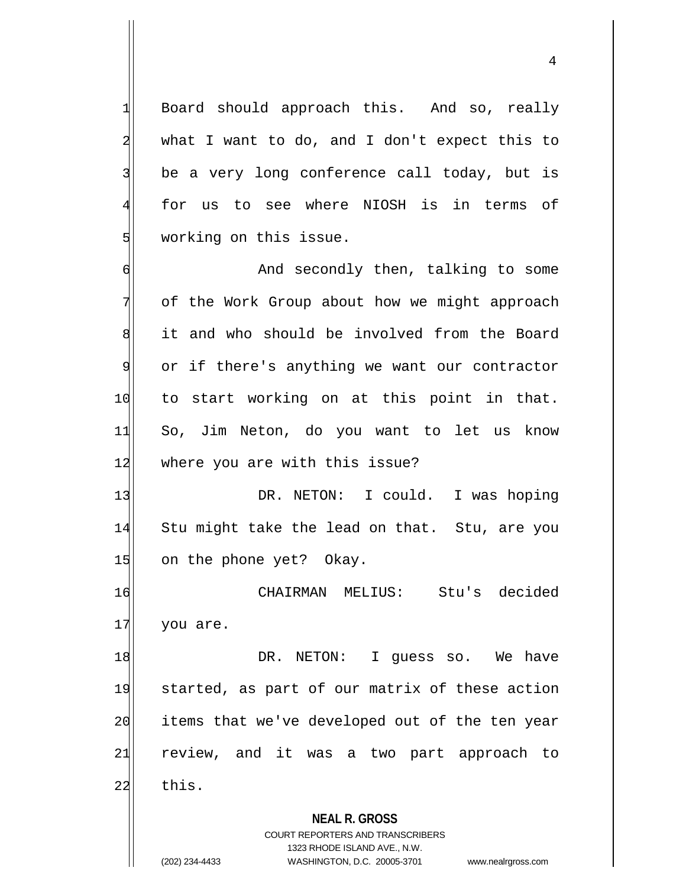1 Board should approach this. And so, really  $2$  what I want to do, and I don't expect this to 3 be a very long conference call today, but is 4 for us to see where NIOSH is in terms of 5 working on this issue.

6 6 And secondly then, talking to some 7 of the Work Group about how we might approach 8 it and who should be involved from the Board 9 or if there's anything we want our contractor 10 to start working on at this point in that. 11 So, Jim Neton, do you want to let us know 12 where you are with this issue?

13 DR. NETON: I could. I was hoping 14 Stu might take the lead on that. Stu, are you 15 on the phone yet? Okay.

16 CHAIRMAN MELIUS: Stu's decided 17 you are.

18 DR. NETON: I guess so. We have 19 started, as part of our matrix of these action 20 items that we've developed out of the ten year 21 review, and it was a two part approach to  $22$  this.

**NEAL R. GROSS**

COURT REPORTERS AND TRANSCRIBERS 1323 RHODE ISLAND AVE., N.W. (202) 234-4433 WASHINGTON, D.C. 20005-3701 www.nealrgross.com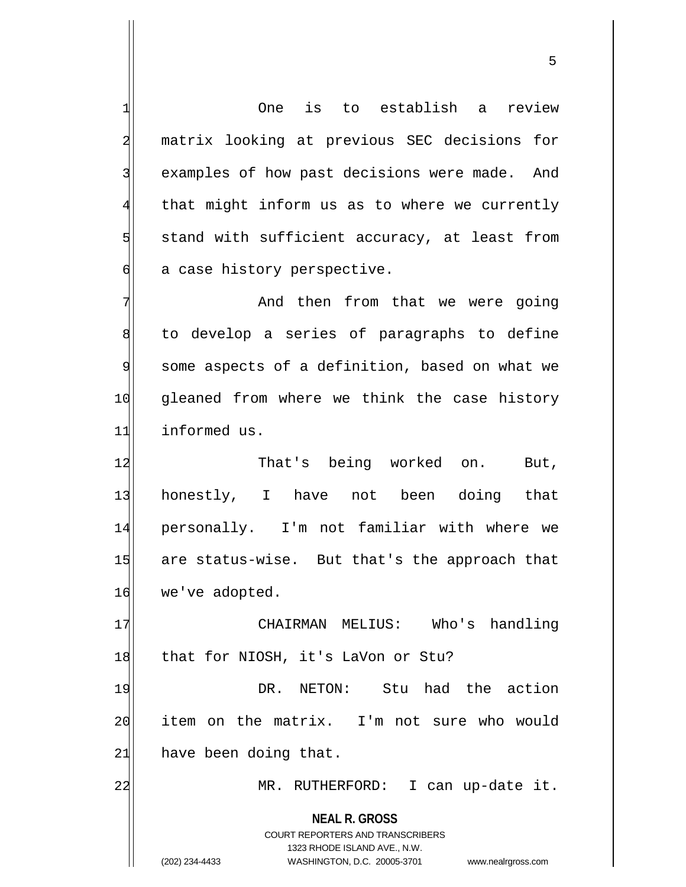**NEAL R. GROSS** COURT REPORTERS AND TRANSCRIBERS 1323 RHODE ISLAND AVE., N.W. (202) 234-4433 WASHINGTON, D.C. 20005-3701 www.nealrgross.com 1 One is to establish a review 2 matrix looking at previous SEC decisions for 3 examples of how past decisions were made. And  $4$  that might inform us as to where we currently  $5$  stand with sufficient accuracy, at least from  $\delta$  a case history perspective. 7 And then from that we were going 8 to develop a series of paragraphs to define 9 some aspects of a definition, based on what we 10 gleaned from where we think the case history 11 informed us. 12 That's being worked on. But, 13 honestly, I have not been doing that 14 personally. I'm not familiar with where we 15 are status-wise. But that's the approach that 16 we've adopted. 17 CHAIRMAN MELIUS: Who's handling 18 that for NIOSH, it's LaVon or Stu? 19 **DR.** NETON: Stu had the action 20 item on the matrix. I'm not sure who would  $21$  have been doing that. 22 MR. RUTHERFORD: I can up-date it.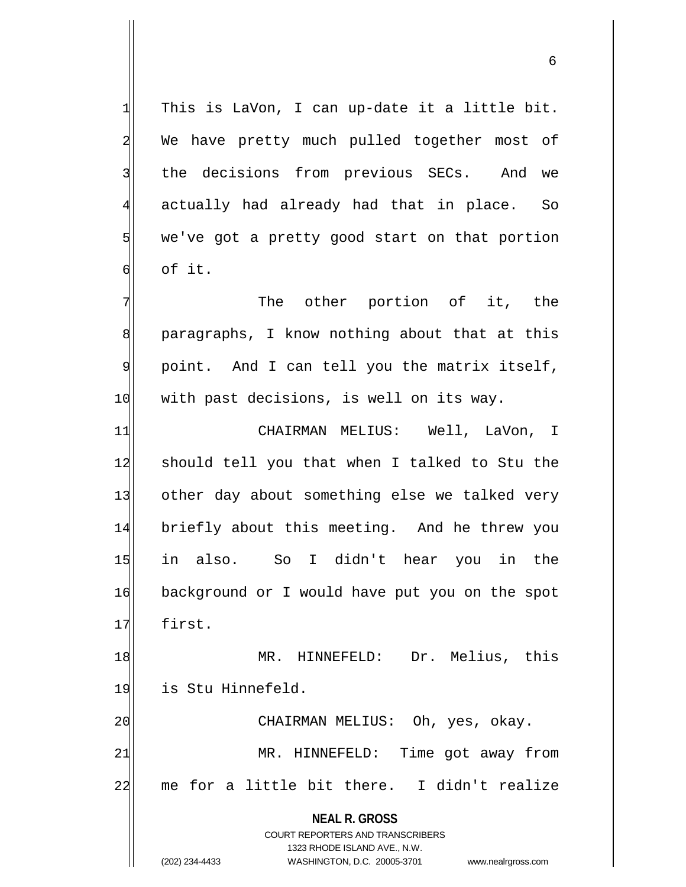$1$  This is LaVon, I can up-date it a little bit. 2 We have pretty much pulled together most of 3 the decisions from previous SECs. And we 4 actually had already had that in place. So  $5$  we've got a pretty good start on that portion  $\mathsf{d}$  of it.

 $7$  The other portion of it, the 8 paragraphs, I know nothing about that at this 9 point. And I can tell you the matrix itself, 10 with past decisions, is well on its way.

11 CHAIRMAN MELIUS: Well, LaVon, I 12 should tell you that when I talked to Stu the 13 other day about something else we talked very 14 briefly about this meeting. And he threw you 15 in also. So I didn't hear you in the 16 background or I would have put you on the spot 17 first.

18 MR. HINNEFELD: Dr. Melius, this 19 is Stu Hinnefeld.

21 MR. HINNEFELD: Time got away from 22 me for a little bit there. I didn't realize

20 CHAIRMAN MELIUS: Oh, yes, okay.

**NEAL R. GROSS** COURT REPORTERS AND TRANSCRIBERS

1323 RHODE ISLAND AVE., N.W.

(202) 234-4433 WASHINGTON, D.C. 20005-3701 www.nealrgross.com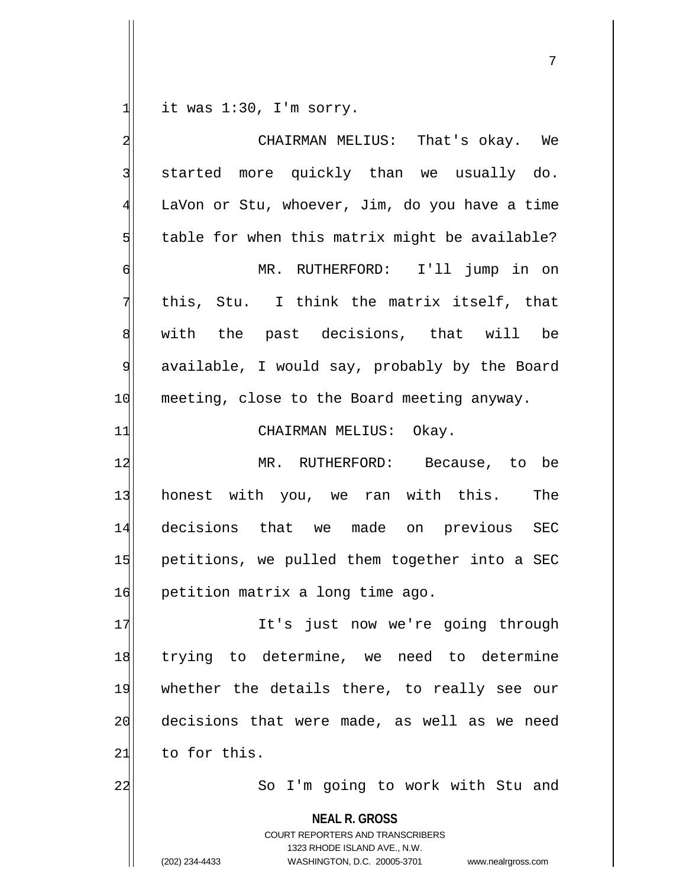$1$  it was 1:30, I'm sorry.

| $\overline{\mathbf{c}}$ | CHAIRMAN MELIUS: That's okay. We                                                                                                                                       |
|-------------------------|------------------------------------------------------------------------------------------------------------------------------------------------------------------------|
| $\overline{3}$          | started more quickly than we usually do.                                                                                                                               |
| $\overline{4}$          | LaVon or Stu, whoever, Jim, do you have a time                                                                                                                         |
| 5                       | table for when this matrix might be available?                                                                                                                         |
| 6                       | MR. RUTHERFORD: I'll jump in on                                                                                                                                        |
| 7                       | this, Stu. I think the matrix itself, that                                                                                                                             |
| $\boldsymbol{8}$        | with the past decisions, that will be                                                                                                                                  |
| 9                       | available, I would say, probably by the Board                                                                                                                          |
| 10                      | meeting, close to the Board meeting anyway.                                                                                                                            |
| 11                      | CHAIRMAN MELIUS: Okay.                                                                                                                                                 |
| 12                      | MR. RUTHERFORD: Because, to be                                                                                                                                         |
| 13                      | honest with you, we ran with this. The                                                                                                                                 |
| 14                      | decisions that we made on previous SEC                                                                                                                                 |
| 15                      | petitions, we pulled them together into a SEC                                                                                                                          |
| 16                      | petition matrix a long time ago.                                                                                                                                       |
| 17                      | It's just now we're going through                                                                                                                                      |
| 18                      | trying to determine, we need to determine                                                                                                                              |
| 19                      | whether the details there, to really see our                                                                                                                           |
| 20                      | decisions that were made, as well as we need                                                                                                                           |
| 21                      | to for this.                                                                                                                                                           |
| 22                      | So I'm going to work with Stu and                                                                                                                                      |
|                         | <b>NEAL R. GROSS</b><br><b>COURT REPORTERS AND TRANSCRIBERS</b><br>1323 RHODE ISLAND AVE., N.W.<br>(202) 234-4433<br>WASHINGTON, D.C. 20005-3701<br>www.nealrgross.com |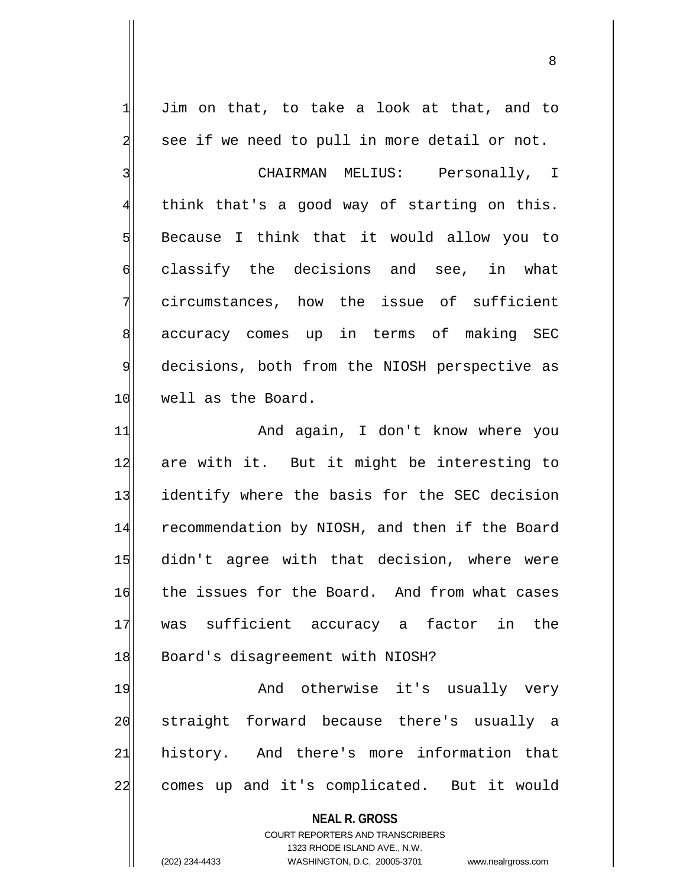$1$  Jim on that, to take a look at that, and to 2 see if we need to pull in more detail or not.

3 | CHAIRMAN MELIUS: Personally, I  $4$  think that's a good way of starting on this.  $5$  Because I think that it would allow you to 6 classify the decisions and see, in what 7 circumstances, how the issue of sufficient 8 accuracy comes up in terms of making SEC 9 decisions, both from the NIOSH perspective as 10 well as the Board.

11 and again, I don't know where you 12 are with it. But it might be interesting to 13 identify where the basis for the SEC decision 14 recommendation by NIOSH, and then if the Board 15 didn't agree with that decision, where were 16 the issues for the Board. And from what cases 17 was sufficient accuracy a factor in the 18 Board's disagreement with NIOSH?

19 And otherwise it's usually very 20 straight forward because there's usually a 21 history. And there's more information that 22 comes up and it's complicated. But it would

> **NEAL R. GROSS** COURT REPORTERS AND TRANSCRIBERS 1323 RHODE ISLAND AVE., N.W. (202) 234-4433 WASHINGTON, D.C. 20005-3701 www.nealrgross.com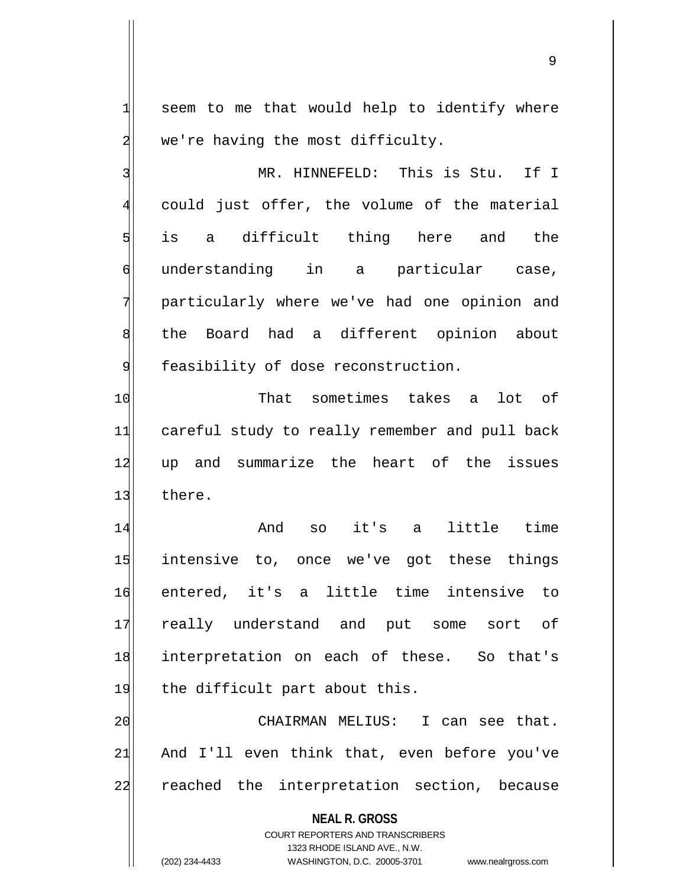$1$  seem to me that would help to identify where  $2$  we're having the most difficulty.

3<sup>|</sup> MR. HINNEFELD: This is Stu. If I 4 could just offer, the volume of the material  $5$  is a difficult thing here and the 6 understanding in a particular case, 7 particularly where we've had one opinion and 8 the Board had a different opinion about 9 feasibility of dose reconstruction.

10 That sometimes takes a lot of 11 careful study to really remember and pull back 12 up and summarize the heart of the issues 13 there.

14 And so it's a little time 15 intensive to, once we've got these things 16 entered, it's a little time intensive to 17 really understand and put some sort of 18 interpretation on each of these. So that's 19 the difficult part about this.

20 CHAIRMAN MELIUS: I can see that.  $21$  And I'll even think that, even before you've 22 reached the interpretation section, because

> **NEAL R. GROSS** COURT REPORTERS AND TRANSCRIBERS

1323 RHODE ISLAND AVE., N.W. (202) 234-4433 WASHINGTON, D.C. 20005-3701 www.nealrgross.com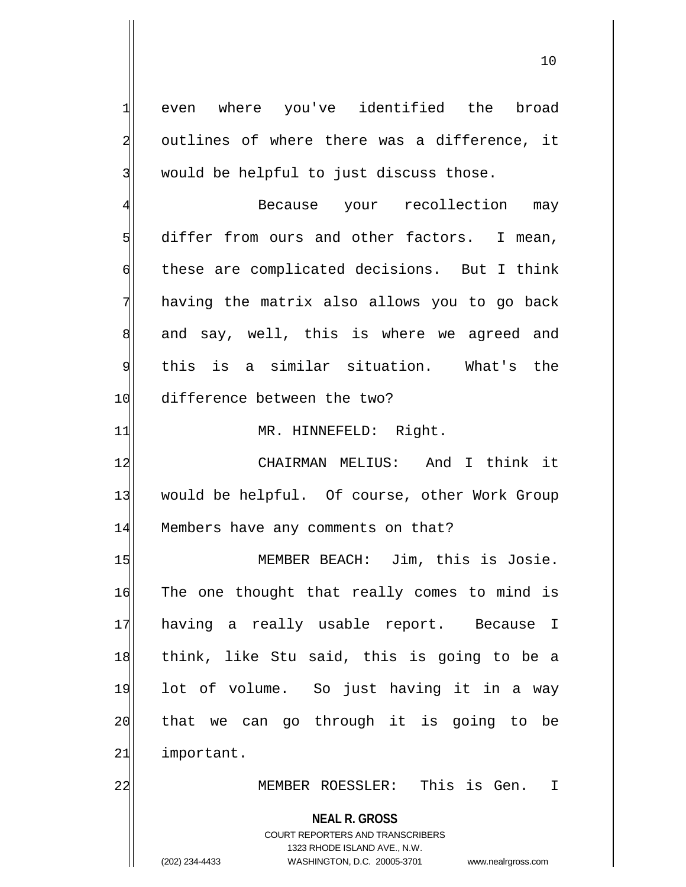**NEAL R. GROSS** COURT REPORTERS AND TRANSCRIBERS 1323 RHODE ISLAND AVE., N.W. 1 even where you've identified the broad 2 outlines of where there was a difference, it 3 would be helpful to just discuss those. 4 Because your recollection may 5 differ from ours and other factors. I mean, 6 these are complicated decisions. But I think 7 having the matrix also allows you to go back 8 and say, well, this is where we agreed and 9 this is a similar situation. What's the 10 difference between the two? 11 MR. HINNEFELD: Right. 12 CHAIRMAN MELIUS: And I think it 13 would be helpful. Of course, other Work Group 14 Members have any comments on that? 15 MEMBER BEACH: Jim, this is Josie. 16 The one thought that really comes to mind is 17 having a really usable report. Because I 18 think, like Stu said, this is going to be a 19 lot of volume. So just having it in a way 20 that we can go through it is going to be 21 important. 22 MEMBER ROESSLER: This is Gen. I

(202) 234-4433 WASHINGTON, D.C. 20005-3701 www.nealrgross.com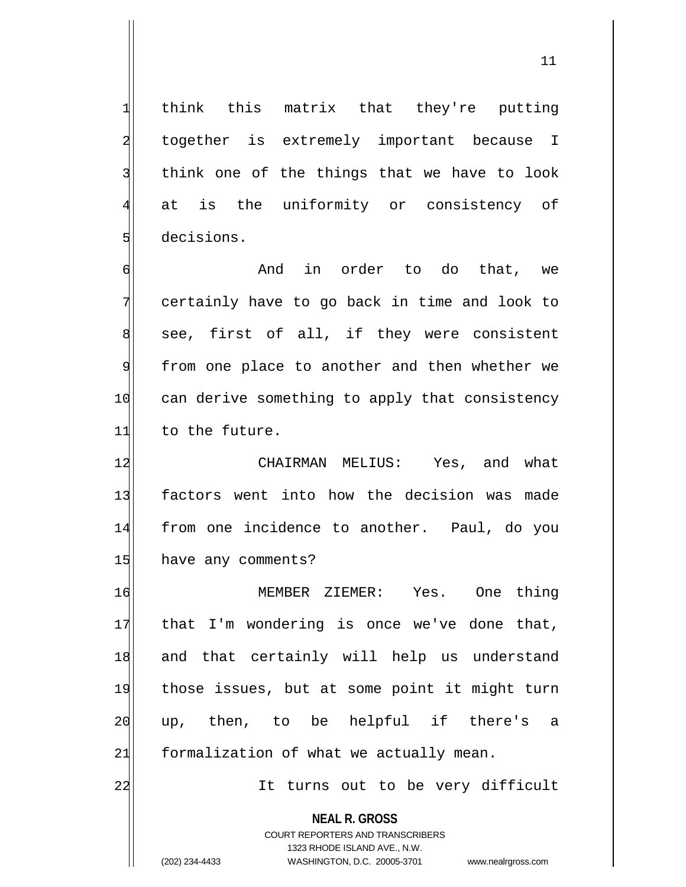1 think this matrix that they're putting 2 together is extremely important because I 3 think one of the things that we have to look 4 at is the uniformity or consistency of 5 decisions.

6 6 6 And in order to do that, we 7 certainly have to go back in time and look to  $\| \cdot \|$  see, first of all, if they were consistent 9 from one place to another and then whether we 10 can derive something to apply that consistency 11 to the future.

12 CHAIRMAN MELIUS: Yes, and what 13 factors went into how the decision was made 14 from one incidence to another. Paul, do you 15 have any comments?

16 MEMBER ZIEMER: Yes. One thing  $17$  that I'm wondering is once we've done that, 18 and that certainly will help us understand 19 those issues, but at some point it might turn 20 up, then, to be helpful if there's a  $21$  formalization of what we actually mean.

22 and 1t turns out to be very difficult

**NEAL R. GROSS** COURT REPORTERS AND TRANSCRIBERS 1323 RHODE ISLAND AVE., N.W.

(202) 234-4433 WASHINGTON, D.C. 20005-3701 www.nealrgross.com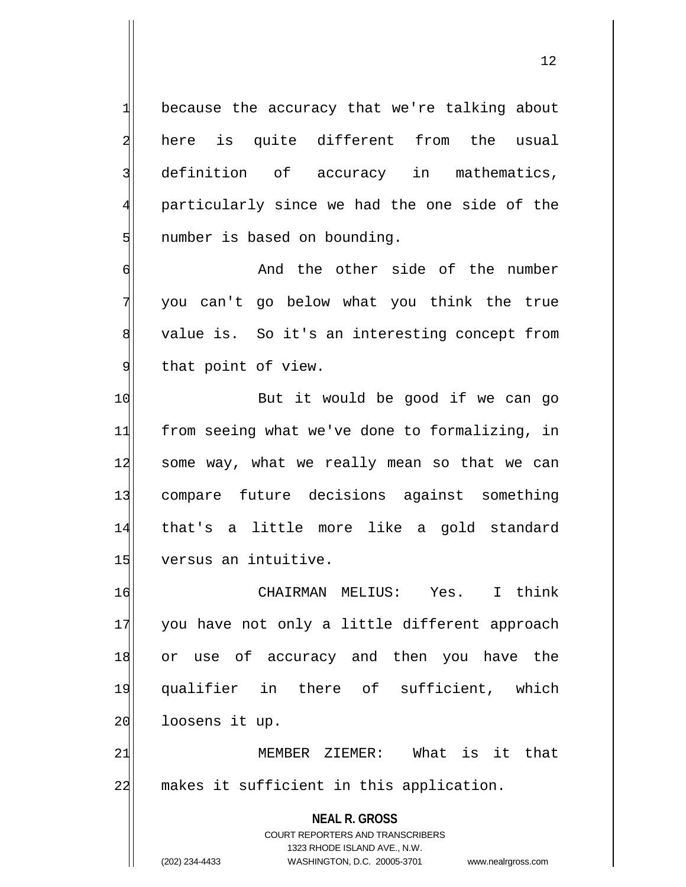$1$  because the accuracy that we're talking about 2 here is quite different from the usual 3 definition of accuracy in mathematics, 4 particularly since we had the one side of the 5 | number is based on bounding.

6 6 And the other side of the number 7 you can't go below what you think the true 8 value is. So it's an interesting concept from 9 that point of view.

10 But it would be good if we can go 11 from seeing what we've done to formalizing, in 12 some way, what we really mean so that we can 13 compare future decisions against something 14 that's a little more like a gold standard 15 versus an intuitive.

16 CHAIRMAN MELIUS: Yes. I think 17 you have not only a little different approach 18 or use of accuracy and then you have the 19 qualifier in there of sufficient, which 20 loosens it up.

21 | MEMBER ZIEMER: What is it that 22 makes it sufficient in this application.

> **NEAL R. GROSS** COURT REPORTERS AND TRANSCRIBERS 1323 RHODE ISLAND AVE., N.W. (202) 234-4433 WASHINGTON, D.C. 20005-3701 www.nealrgross.com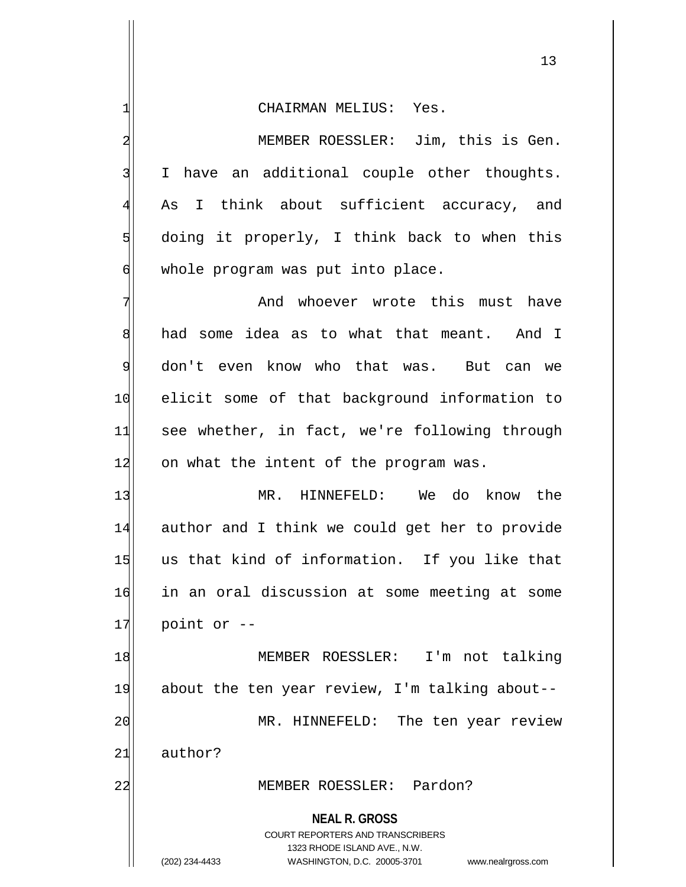1 CHAIRMAN MELIUS: Yes.

2 MEMBER ROESSLER: Jim, this is Gen. 3 I have an additional couple other thoughts. 4 As I think about sufficient accuracy, and  $5$  doing it properly, I think back to when this  $\phi$  whole program was put into place.

7 And whoever wrote this must have 8 had some idea as to what that meant. And I 9 don't even know who that was. But can we 10 elicit some of that background information to 11 see whether, in fact, we're following through 12 on what the intent of the program was.

13 MR. HINNEFELD: We do know the 14 author and I think we could get her to provide 15 us that kind of information. If you like that 16 in an oral discussion at some meeting at some  $17$  point or  $-$ 

18 MEMBER ROESSLER: I'm not talking 19 about the ten year review, I'm talking about--20 MR. HINNEFELD: The ten year review 21 author?

## 22 MEMBER ROESSLER: Pardon?

**NEAL R. GROSS**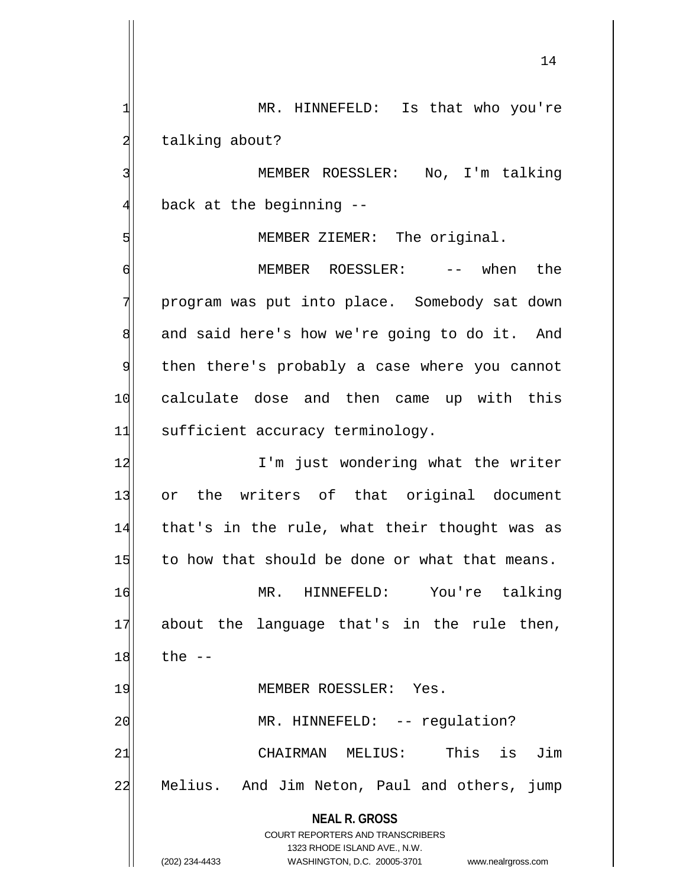1 MR. HINNEFELD: Is that who you're 2 talking about?

3 | MEMBER ROESSLER: No, I'm talking  $4$  back at the beginning  $-$ 

5 MEMBER ZIEMER: The original.

6 MEMBER ROESSLER: -- when the 7 program was put into place. Somebody sat down 8 and said here's how we're going to do it. And 9 then there's probably a case where you cannot 10 calculate dose and then came up with this 11 sufficient accuracy terminology.

12 I'm just wondering what the writer 13 or the writers of that original document 14 that's in the rule, what their thought was as  $15$  to how that should be done or what that means.

16 MR. HINNEFELD: You're talking 17 about the language that's in the rule then,  $18$  the  $-$ 

19 MEMBER ROESSLER: Yes.

20 | MR. HINNEFELD: -- regulation? 21 CHAIRMAN MELIUS: This is Jim 22 Melius. And Jim Neton, Paul and others, jump

> **NEAL R. GROSS** COURT REPORTERS AND TRANSCRIBERS

> > 1323 RHODE ISLAND AVE., N.W.

(202) 234-4433 WASHINGTON, D.C. 20005-3701 www.nealrgross.com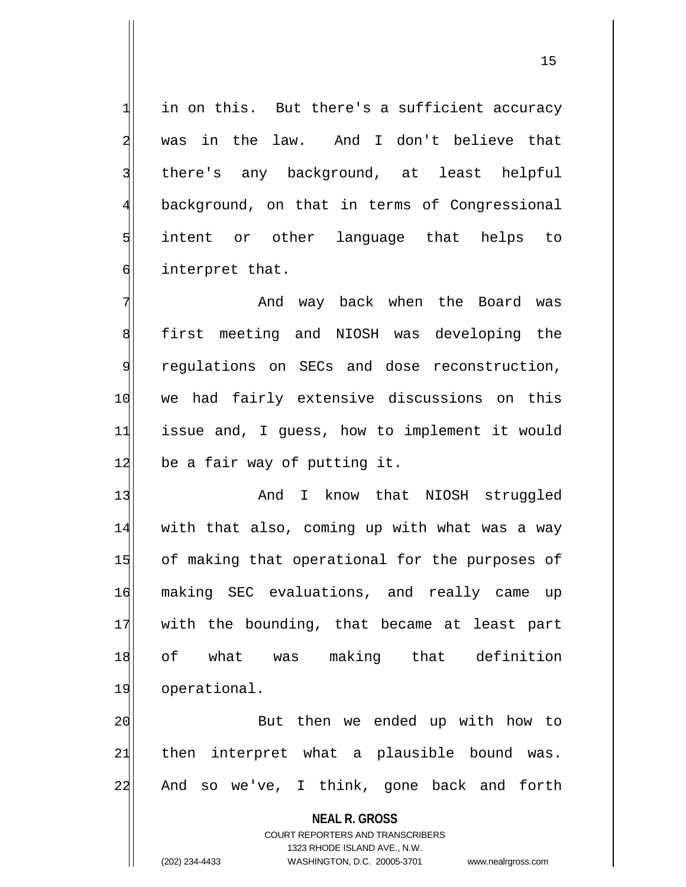$1$  in on this. But there's a sufficient accuracy 2 was in the law. And I don't believe that 3 | there's any background, at least helpful 4 background, on that in terms of Congressional 5 s intent or other language that helps to 6 interpret that.

7 And way back when the Board was 8 8 first meeting and NIOSH was developing the 9 | regulations on SECs and dose reconstruction, 10 we had fairly extensive discussions on this 11 issue and, I guess, how to implement it would  $12$  be a fair way of putting it.

13 and I know that NIOSH struggled 14 with that also, coming up with what was a way 15 of making that operational for the purposes of 16 making SEC evaluations, and really came up 17 with the bounding, that became at least part 18 of what was making that definition 19 operational.

20 But then we ended up with how to  $21$  then interpret what a plausible bound was. 22 And so we've, I think, gone back and forth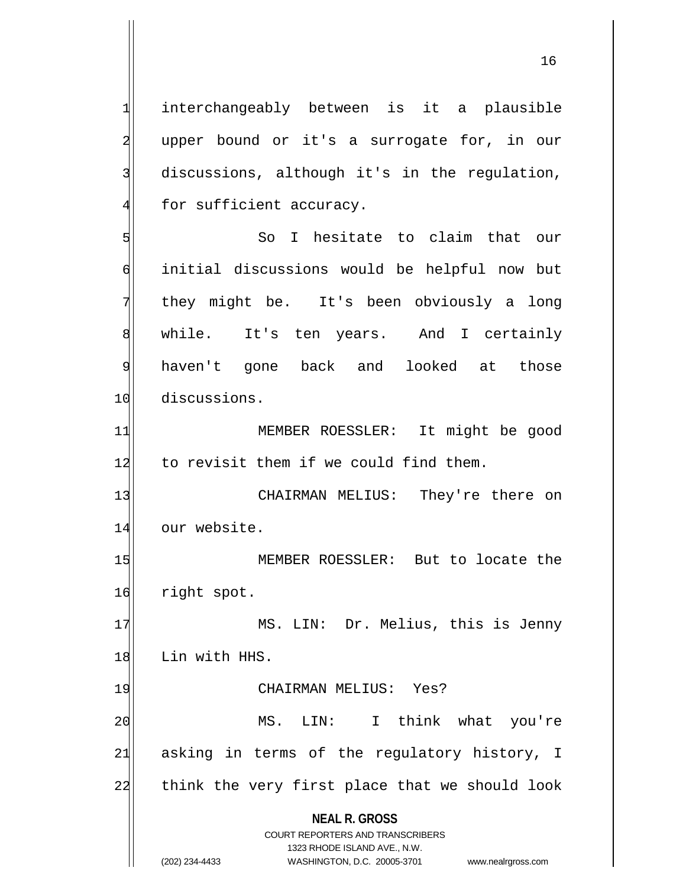**NEAL R. GROSS** COURT REPORTERS AND TRANSCRIBERS 1323 RHODE ISLAND AVE., N.W. 1 interchangeably between is it a plausible 2 upper bound or it's a surrogate for, in our 3 discussions, although it's in the regulation,  $4$  for sufficient accuracy. 5 So I hesitate to claim that our 6 initial discussions would be helpful now but 7 they might be. It's been obviously a long 8 while. It's ten years. And I certainly 9 haven't gone back and looked at those 10 discussions. 11 MEMBER ROESSLER: It might be good 12 to revisit them if we could find them. 13 CHAIRMAN MELIUS: They're there on 14 our website. 15 MEMBER ROESSLER: But to locate the 16 right spot. 17 MS. LIN: Dr. Melius, this is Jenny 18 Lin with HHS. 19 CHAIRMAN MELIUS: Yes? 20 MS. LIN: I think what you're  $21$  asking in terms of the regulatory history, I 22 think the very first place that we should look

(202) 234-4433 WASHINGTON, D.C. 20005-3701 www.nealrgross.com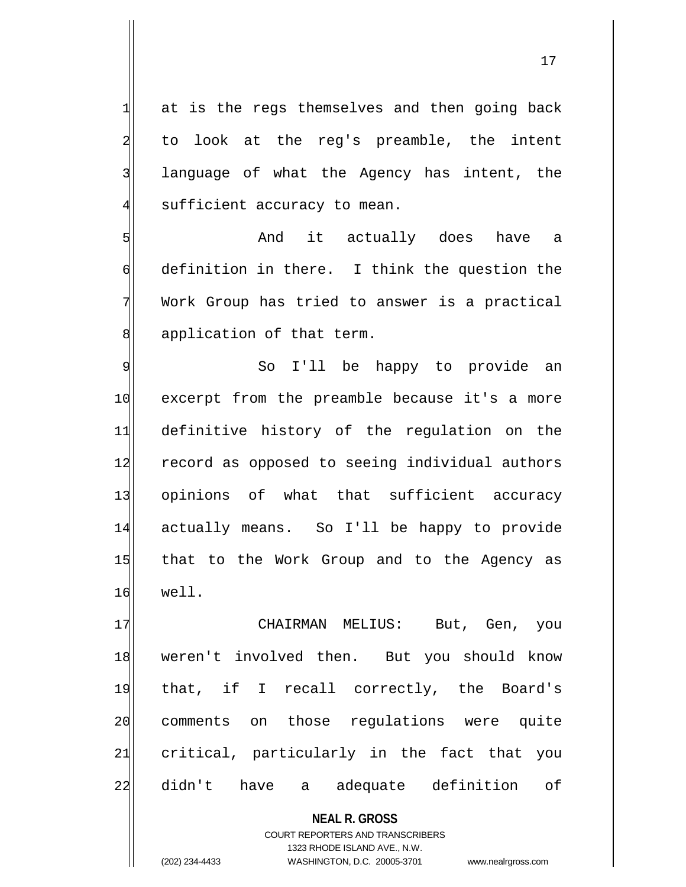$1$  at is the regs themselves and then going back 2 to look at the reg's preamble, the intent 3 language of what the Agency has intent, the  $4$  sufficient accuracy to mean.

5 Solution and it actually does have a 6 definition in there. I think the question the 7 Work Group has tried to answer is a practical 8 application of that term.

9 So I'll be happy to provide an 10 excerpt from the preamble because it's a more 11 definitive history of the regulation on the 12 record as opposed to seeing individual authors 13 opinions of what that sufficient accuracy 14 actually means. So I'll be happy to provide 15 that to the Work Group and to the Agency as 16 well.

17 | CHAIRMAN MELIUS: But, Gen, you 18 weren't involved then. But you should know 19 that, if I recall correctly, the Board's 20 comments on those regulations were quite 21 critical, particularly in the fact that you 22 didn't have a adequate definition of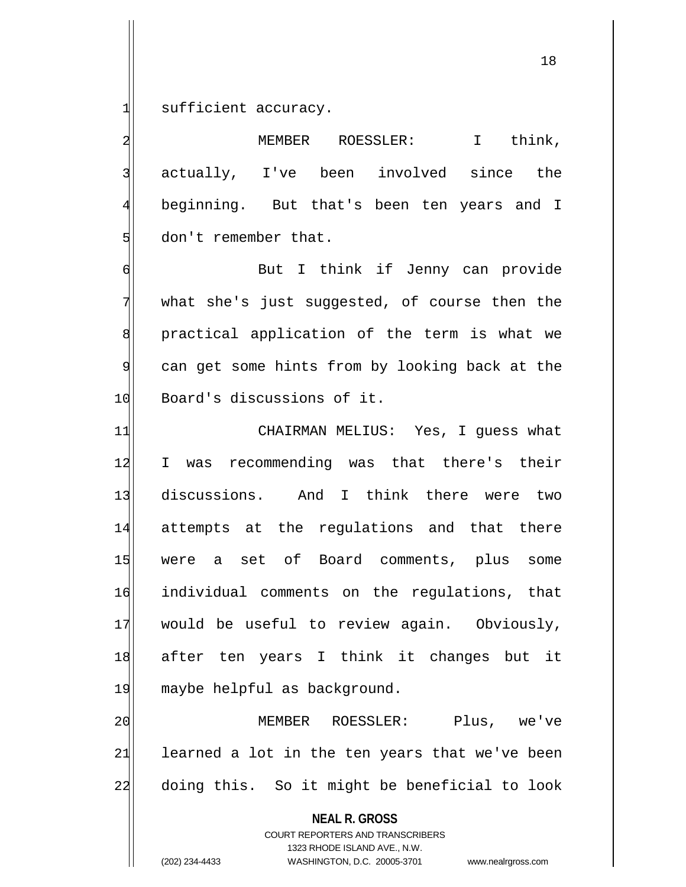$1$  sufficient accuracy.

2 MEMBER ROESSLER: I think, 3 actually, I've been involved since the 4 beginning. But that's been ten years and I 5 don't remember that.

6 But I think if Jenny can provide  $7$  what she's just suggested, of course then the 8 | statical application of the term is what we 9 can get some hints from by looking back at the 10 Board's discussions of it.

11 CHAIRMAN MELIUS: Yes, I quess what 12 I was recommending was that there's their 13 discussions. And I think there were two 14 attempts at the regulations and that there 15 were a set of Board comments, plus some 16 individual comments on the regulations, that 17 would be useful to review again. Obviously, 18 after ten years I think it changes but it 19 maybe helpful as background.

20 MEMBER ROESSLER: Plus, we've  $21$  learned a lot in the ten years that we've been 22 doing this. So it might be beneficial to look

**NEAL R. GROSS**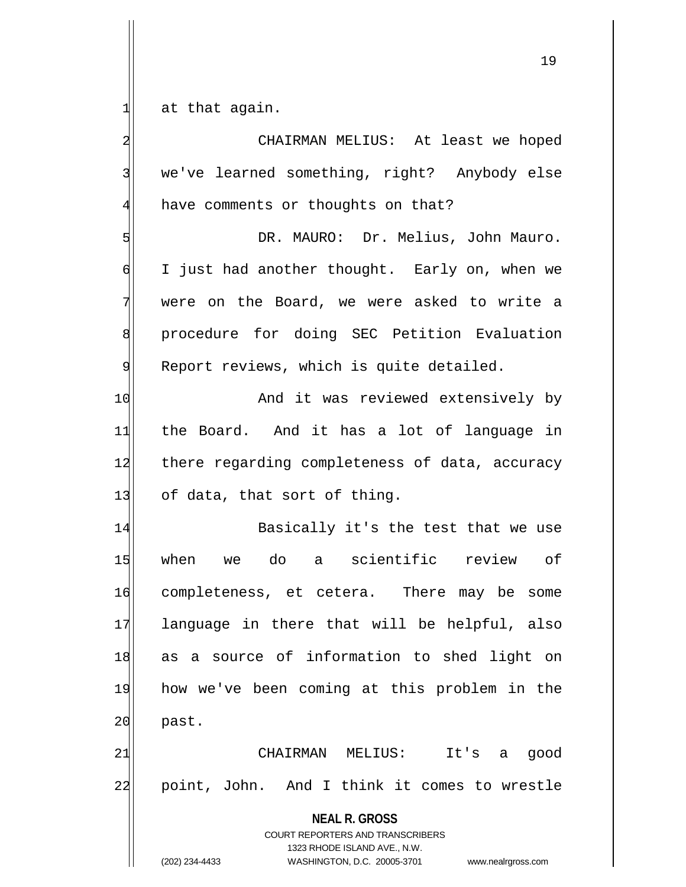$1$  at that again.

**NEAL R. GROSS** COURT REPORTERS AND TRANSCRIBERS 1323 RHODE ISLAND AVE., N.W. (202) 234-4433 WASHINGTON, D.C. 20005-3701 www.nealrgross.com 2 | CHAIRMAN MELIUS: At least we hoped 3 we've learned something, right? Anybody else 4 have comments or thoughts on that? 5 | DR. MAURO: Dr. Melius, John Mauro. 6 I just had another thought. Early on, when we 7 were on the Board, we were asked to write a 8 | procedure for doing SEC Petition Evaluation 9 Report reviews, which is quite detailed. 10 And it was reviewed extensively by 11 the Board. And it has a lot of language in 12 there regarding completeness of data, accuracy 13 of data, that sort of thing. 14 Basically it's the test that we use 15 when we do a scientific review of 16 completeness, et cetera. There may be some 17 language in there that will be helpful, also 18 as a source of information to shed light on 19 how we've been coming at this problem in the 20 past. 21 CHAIRMAN MELIUS: It's a good 22 point, John. And I think it comes to wrestle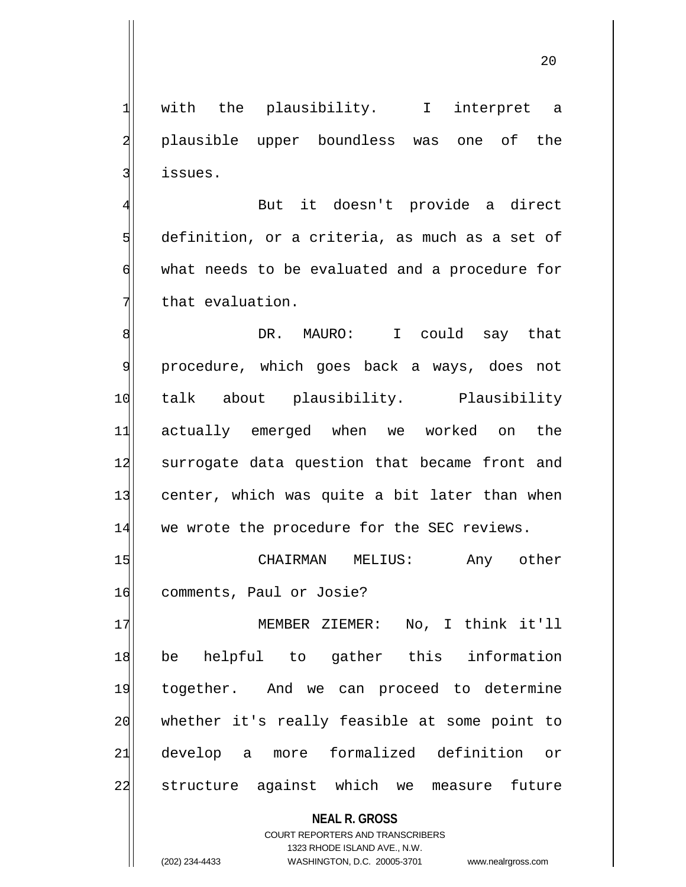20

1 with the plausibility. I interpret a 2 plausible upper boundless was one of the 3 issues.

4 But it doesn't provide a direct  $5$  definition, or a criteria, as much as a set of 6 what needs to be evaluated and a procedure for 7 that evaluation.

8 8 B. MAURO: I could say that 9 procedure, which goes back a ways, does not 10 talk about plausibility. Plausibility 11 actually emerged when we worked on the 12 surrogate data question that became front and 13 center, which was quite a bit later than when 14 we wrote the procedure for the SEC reviews.

15 CHAIRMAN MELIUS: Any other 16 comments, Paul or Josie?

17 MEMBER ZIEMER: No, I think it'll 18 be helpful to gather this information 19 together. And we can proceed to determine 20 whether it's really feasible at some point to 21 develop a more formalized definition or 22 structure against which we measure future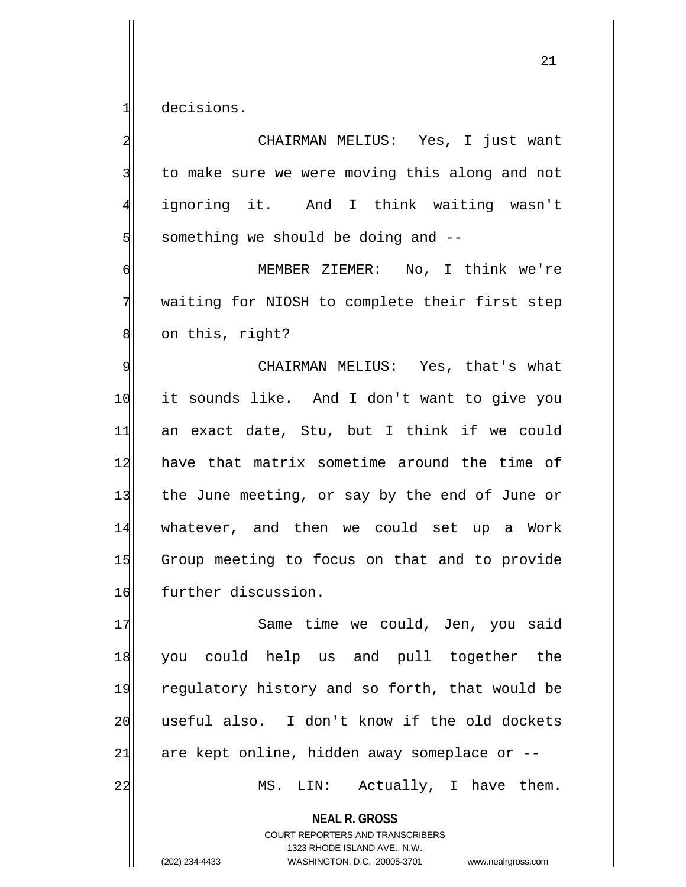1 decisions.

2 | CHAIRMAN MELIUS: Yes, I just want 3 to make sure we were moving this along and not 4 ignoring it. And I think waiting wasn't  $5$  something we should be doing and  $-$ -

6 MEMBER ZIEMER: No, I think we're 7 waiting for NIOSH to complete their first step 8 on this, right?

9 CHAIRMAN MELIUS: Yes, that's what 10 it sounds like. And I don't want to give you 11 an exact date, Stu, but I think if we could 12 have that matrix sometime around the time of 13 the June meeting, or say by the end of June or 14 whatever, and then we could set up a Work 15 Group meeting to focus on that and to provide 16 further discussion.

17 Same time we could, Jen, you said 18 you could help us and pull together the 19 regulatory history and so forth, that would be 20 useful also. I don't know if the old dockets  $21$  are kept online, hidden away someplace or  $-$ 

22 MS. LIN: Actually, I have them.

**NEAL R. GROSS**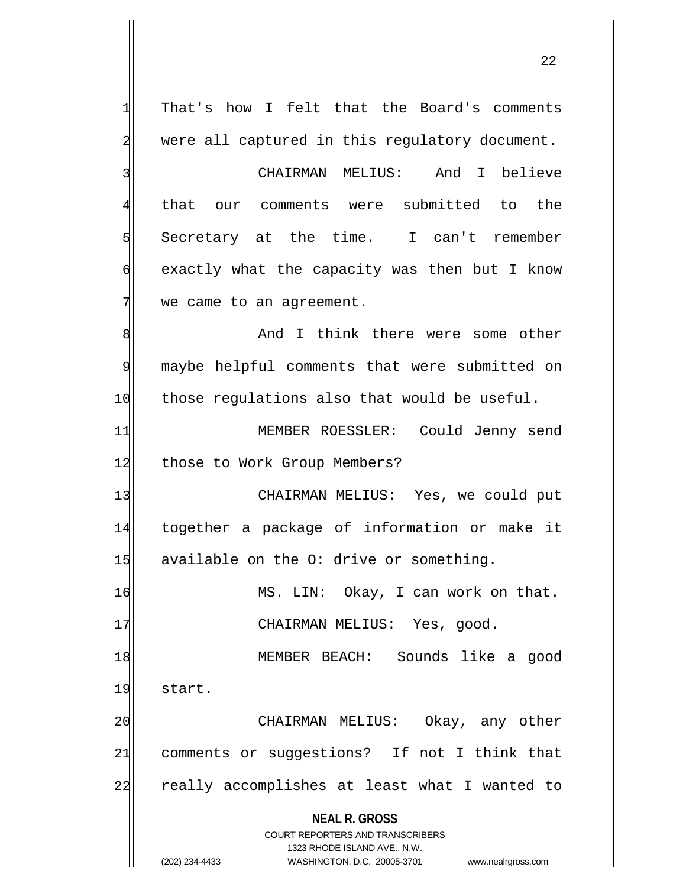**NEAL R. GROSS** COURT REPORTERS AND TRANSCRIBERS 1323 RHODE ISLAND AVE., N.W. (202) 234-4433 WASHINGTON, D.C. 20005-3701 www.nealrgross.com 1 That's how I felt that the Board's comments 2 were all captured in this regulatory document. 3 CHAIRMAN MELIUS: And I believe 4 that our comments were submitted to the  $5$  Secretary at the time. I can't remember 6 exactly what the capacity was then but I know  $7$  we came to an agreement. 8 8 And I think there were some other 9 maybe helpful comments that were submitted on 10 those regulations also that would be useful. 11 MEMBER ROESSLER: Could Jenny send 12 those to Work Group Members? 13 CHAIRMAN MELIUS: Yes, we could put 14 together a package of information or make it  $15$  available on the O: drive or something. 16 MS. LIN: Okay, I can work on that. 17 CHAIRMAN MELIUS: Yes, good. 18 MEMBER BEACH: Sounds like a good 19 start. 20 CHAIRMAN MELIUS: Okay, any other 21| comments or suggestions? If not I think that 22 really accomplishes at least what I wanted to